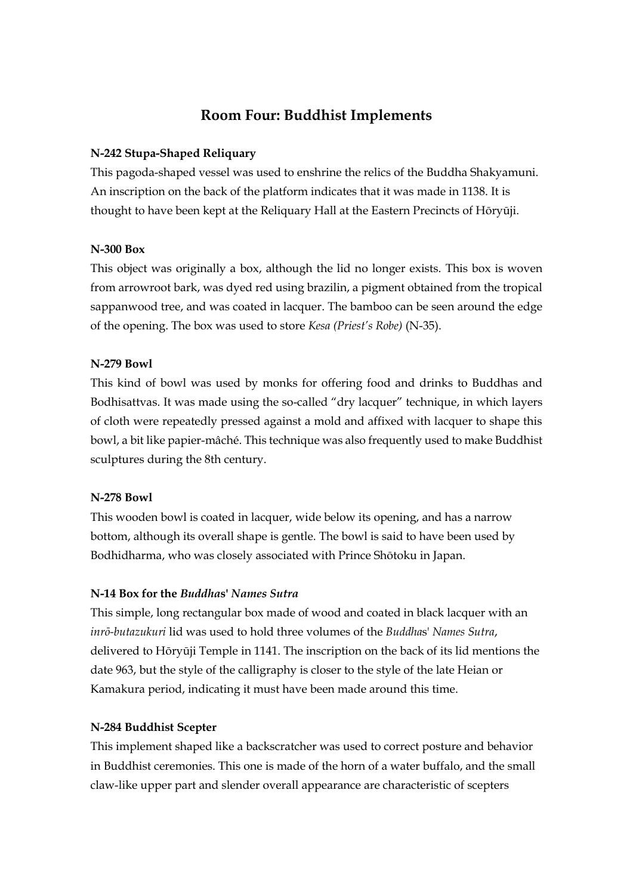# **Room Four: Buddhist Implements**

## **N-242 Stupa-Shaped Reliquary**

This pagoda-shaped vessel was used to enshrine the relics of the Buddha Shakyamuni. An inscription on the back of the platform indicates that it was made in 1138. It is thought to have been kept at the Reliquary Hall at the Eastern Precincts of Hōryūji.

## **N-300 Box**

This object was originally a box, although the lid no longer exists. This box is woven from arrowroot bark, was dyed red using brazilin, a pigment obtained from the tropical sappanwood tree, and was coated in lacquer. The bamboo can be seen around the edge of the opening. The box was used to store *Kesa (Priest's Robe)* (N-35).

## **N-279 Bowl**

This kind of bowl was used by monks for offering food and drinks to Buddhas and Bodhisattvas. It was made using the so-called "dry lacquer" technique, in which layers of cloth were repeatedly pressed against a mold and affixed with lacquer to shape this bowl, a bit like papier-mâché. This technique was also frequently used to make Buddhist sculptures during the 8th century.

#### **N-278 Bowl**

This wooden bowl is coated in lacquer, wide below its opening, and has a narrow bottom, although its overall shape is gentle. The bowl is said to have been used by Bodhidharma, who was closely associated with Prince Shōtoku in Japan.

#### **N-14 Box for the** *Buddha***s'** *Names Sutra*

This simple, long rectangular box made of wood and coated in black lacquer with an *inrō-butazukuri* lid was used to hold three volumes of the *Buddha*s' *Names Sutra*, delivered to Hōryūji Temple in 1141. The inscription on the back of its lid mentions the date 963, but the style of the calligraphy is closer to the style of the late Heian or Kamakura period, indicating it must have been made around this time.

#### **N-284 Buddhist Scepter**

This implement shaped like a backscratcher was used to correct posture and behavior in Buddhist ceremonies. This one is made of the horn of a water buffalo, and the small claw-like upper part and slender overall appearance are characteristic of scepters